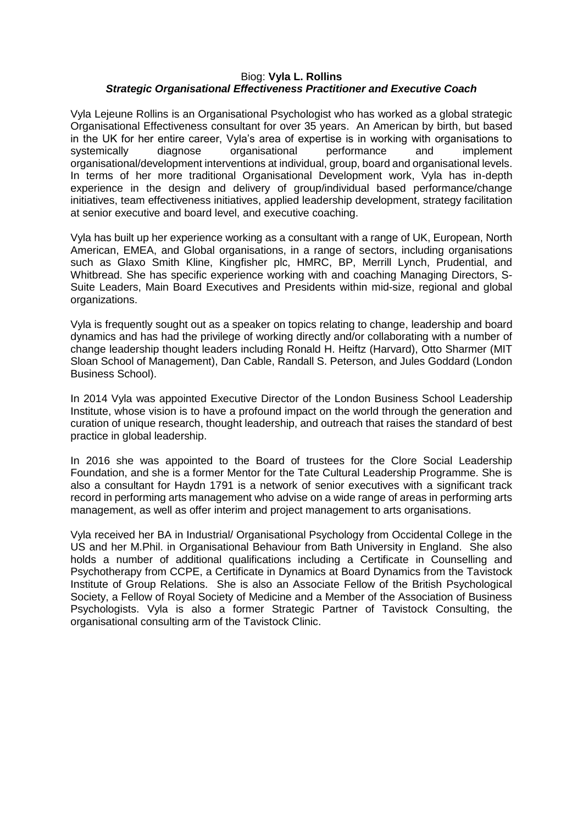## Biog: **Vyla L. Rollins**  *Strategic Organisational Effectiveness Practitioner and Executive Coach*

Vyla Lejeune Rollins is an Organisational Psychologist who has worked as a global strategic Organisational Effectiveness consultant for over 35 years. An American by birth, but based in the UK for her entire career, Vyla's area of expertise is in working with organisations to systemically diagnose organisational performance and implement organisational/development interventions at individual, group, board and organisational levels. In terms of her more traditional Organisational Development work, Vyla has in-depth experience in the design and delivery of group/individual based performance/change initiatives, team effectiveness initiatives, applied leadership development, strategy facilitation at senior executive and board level, and executive coaching.

Vyla has built up her experience working as a consultant with a range of UK, European, North American, EMEA, and Global organisations, in a range of sectors, including organisations such as Glaxo Smith Kline, Kingfisher plc, HMRC, BP, Merrill Lynch, Prudential, and Whitbread. She has specific experience working with and coaching Managing Directors, S-Suite Leaders, Main Board Executives and Presidents within mid-size, regional and global organizations.

Vyla is frequently sought out as a speaker on topics relating to change, leadership and board dynamics and has had the privilege of working directly and/or collaborating with a number of change leadership thought leaders including Ronald H. Heiftz (Harvard), Otto Sharmer (MIT Sloan School of Management), Dan Cable, Randall S. Peterson, and Jules Goddard (London Business School).

In 2014 Vyla was appointed Executive Director of the London Business School Leadership Institute, whose vision is to have a profound impact on the world through the generation and curation of unique research, thought leadership, and outreach that raises the standard of best practice in global leadership.

In 2016 she was appointed to the Board of trustees for the Clore Social Leadership Foundation, and she is a former Mentor for the Tate Cultural Leadership Programme. She is also a consultant for Haydn 1791 is a network of senior executives with a significant track record in performing arts management who advise on a wide range of areas in performing arts management, as well as offer interim and project management to arts organisations.

Vyla received her BA in Industrial/ Organisational Psychology from Occidental College in the US and her M.Phil. in Organisational Behaviour from Bath University in England. She also holds a number of additional qualifications including a Certificate in Counselling and Psychotherapy from CCPE, a Certificate in Dynamics at Board Dynamics from the Tavistock Institute of Group Relations. She is also an Associate Fellow of the British Psychological Society, a Fellow of Royal Society of Medicine and a Member of the Association of Business Psychologists. Vyla is also a former Strategic Partner of Tavistock Consulting, the organisational consulting arm of the Tavistock Clinic.